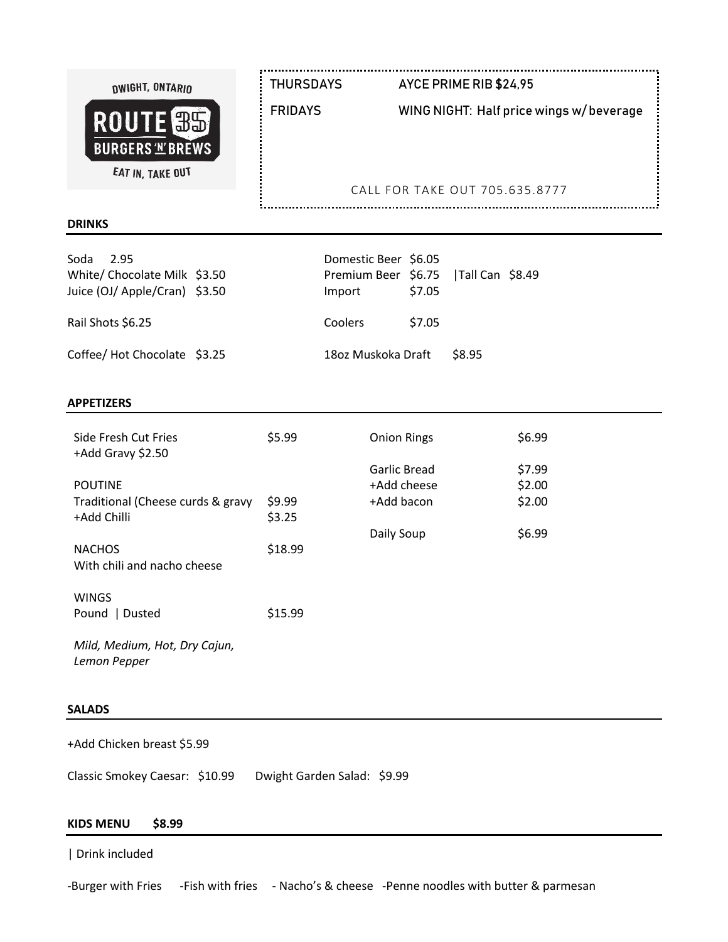| DWIGHT, ONTARIO<br>ROUTE <sup>35</sup><br><b>BURGERS 'N' BREWS</b><br>EAT IN, TAKE OUT | <b>THURSDAYS</b><br><b>FRIDAYS</b> | AYCE PRIME RIB \$24,95<br>WING NIGHT: Half price wings w/beverage |
|----------------------------------------------------------------------------------------|------------------------------------|-------------------------------------------------------------------|
|                                                                                        |                                    | CALL FOR TAKE OUT 705.635.8777                                    |
| <b>DRINKS</b>                                                                          |                                    |                                                                   |

| Soda<br>2.95<br>White/ Chocolate Milk \$3.50<br>Juice (OJ/ Apple/Cran) \$3.50 | Domestic Beer \$6.05<br>Premium Beer \$6.75   Tall Can \$8.49<br>Import | \$7.05 |              |  |
|-------------------------------------------------------------------------------|-------------------------------------------------------------------------|--------|--------------|--|
| Rail Shots \$6.25                                                             | <b>Coolers</b>                                                          | \$7.05 |              |  |
| Coffee/ Hot Chocolate \$3.25                                                  | 18oz Muskoka Draft                                                      |        | <b>S8.95</b> |  |

#### **APPETIZERS**

| Side Fresh Cut Fries<br>+Add Gravy \$2.50        | \$5.99           | <b>Onion Rings</b>          | \$6.99           |
|--------------------------------------------------|------------------|-----------------------------|------------------|
| <b>POUTINE</b>                                   |                  | Garlic Bread<br>+Add cheese | \$7.99<br>\$2.00 |
| Traditional (Cheese curds & gravy<br>+Add Chilli | \$9.99<br>\$3.25 | +Add bacon                  | \$2.00           |
| <b>NACHOS</b><br>With chili and nacho cheese     | \$18.99          | Daily Soup                  | \$6.99           |
| <b>WINGS</b><br>  Dusted<br>Pound                | \$15.99          |                             |                  |
| Mild, Medium, Hot, Dry Cajun,<br>Lemon Pepper    |                  |                             |                  |

#### **SALADS**

+Add Chicken breast \$5.99

Classic Smokey Caesar: \$10.99 Dwight Garden Salad: \$9.99

# **KIDS MENU \$8.99**

| Drink included

-Burger with Fries -Fish with fries - Nacho's & cheese -Penne noodles with butter & parmesan